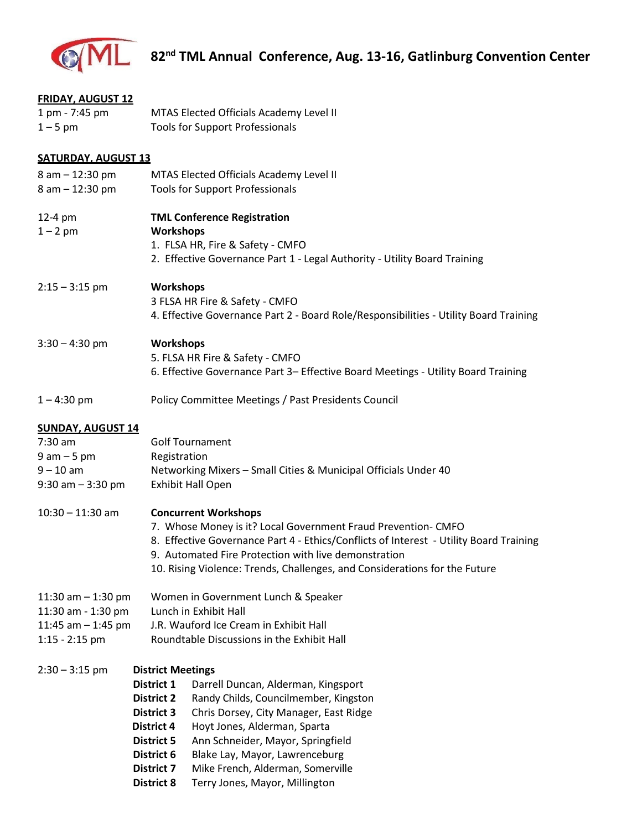

| <b>FRIDAY, AUGUST 12</b>              |                                    |                                                                                             |  |  |
|---------------------------------------|------------------------------------|---------------------------------------------------------------------------------------------|--|--|
| 1 pm - 7:45 pm                        |                                    | MTAS Elected Officials Academy Level II                                                     |  |  |
| $1 - 5$ pm                            |                                    | <b>Tools for Support Professionals</b>                                                      |  |  |
|                                       |                                    |                                                                                             |  |  |
| <b>SATURDAY, AUGUST 13</b>            |                                    |                                                                                             |  |  |
| 8 am - 12:30 pm                       |                                    | MTAS Elected Officials Academy Level II                                                     |  |  |
| 8 am - 12:30 pm                       |                                    | <b>Tools for Support Professionals</b>                                                      |  |  |
|                                       |                                    |                                                                                             |  |  |
| 12-4 pm                               | <b>TML Conference Registration</b> |                                                                                             |  |  |
| $1 - 2$ pm                            | Workshops                          |                                                                                             |  |  |
|                                       |                                    | 1. FLSA HR, Fire & Safety - CMFO                                                            |  |  |
|                                       |                                    | 2. Effective Governance Part 1 - Legal Authority - Utility Board Training                   |  |  |
|                                       |                                    |                                                                                             |  |  |
| $2:15 - 3:15$ pm                      | <b>Workshops</b>                   |                                                                                             |  |  |
|                                       |                                    | 3 FLSA HR Fire & Safety - CMFO                                                              |  |  |
|                                       |                                    | 4. Effective Governance Part 2 - Board Role/Responsibilities - Utility Board Training       |  |  |
|                                       |                                    |                                                                                             |  |  |
| $3:30 - 4:30$ pm                      |                                    | <b>Workshops</b>                                                                            |  |  |
|                                       |                                    | 5. FLSA HR Fire & Safety - CMFO                                                             |  |  |
|                                       |                                    | 6. Effective Governance Part 3- Effective Board Meetings - Utility Board Training           |  |  |
|                                       |                                    |                                                                                             |  |  |
| $1 - 4:30$ pm                         |                                    | Policy Committee Meetings / Past Presidents Council                                         |  |  |
|                                       |                                    |                                                                                             |  |  |
| <b>SUNDAY, AUGUST 14</b><br>$7:30$ am |                                    |                                                                                             |  |  |
|                                       |                                    | <b>Golf Tournament</b>                                                                      |  |  |
| $9 am - 5 pm$                         |                                    | Registration                                                                                |  |  |
| $9 - 10$ am                           |                                    | Networking Mixers - Small Cities & Municipal Officials Under 40<br><b>Exhibit Hall Open</b> |  |  |
| $9:30$ am $-3:30$ pm                  |                                    |                                                                                             |  |  |
| $10:30 - 11:30$ am                    |                                    |                                                                                             |  |  |
|                                       |                                    | <b>Concurrent Workshops</b><br>7. Whose Money is it? Local Government Fraud Prevention-CMFO |  |  |
|                                       |                                    | 8. Effective Governance Part 4 - Ethics/Conflicts of Interest - Utility Board Training      |  |  |
|                                       |                                    | 9. Automated Fire Protection with live demonstration                                        |  |  |
|                                       |                                    | 10. Rising Violence: Trends, Challenges, and Considerations for the Future                  |  |  |
|                                       |                                    |                                                                                             |  |  |
| 11:30 am $-$ 1:30 pm                  |                                    | Women in Government Lunch & Speaker                                                         |  |  |
| 11:30 am - 1:30 pm                    |                                    | Lunch in Exhibit Hall                                                                       |  |  |
| 11:45 am $-$ 1:45 pm                  |                                    | J.R. Wauford Ice Cream in Exhibit Hall                                                      |  |  |
| $1:15 - 2:15$ pm                      |                                    | Roundtable Discussions in the Exhibit Hall                                                  |  |  |
|                                       |                                    |                                                                                             |  |  |
| $2:30 - 3:15$ pm                      | <b>District Meetings</b>           |                                                                                             |  |  |
|                                       | District 1                         | Darrell Duncan, Alderman, Kingsport                                                         |  |  |
|                                       | <b>District 2</b>                  | Randy Childs, Councilmember, Kingston                                                       |  |  |
|                                       | <b>District 3</b>                  | Chris Dorsey, City Manager, East Ridge                                                      |  |  |
|                                       | <b>District 4</b>                  | Hoyt Jones, Alderman, Sparta                                                                |  |  |
|                                       | <b>District 5</b>                  | Ann Schneider, Mayor, Springfield                                                           |  |  |
|                                       | District 6                         | Blake Lay, Mayor, Lawrenceburg                                                              |  |  |
|                                       | <b>District 7</b>                  | Mike French, Alderman, Somerville                                                           |  |  |
|                                       |                                    |                                                                                             |  |  |

 **District 8** Terry Jones, Mayor, Millington